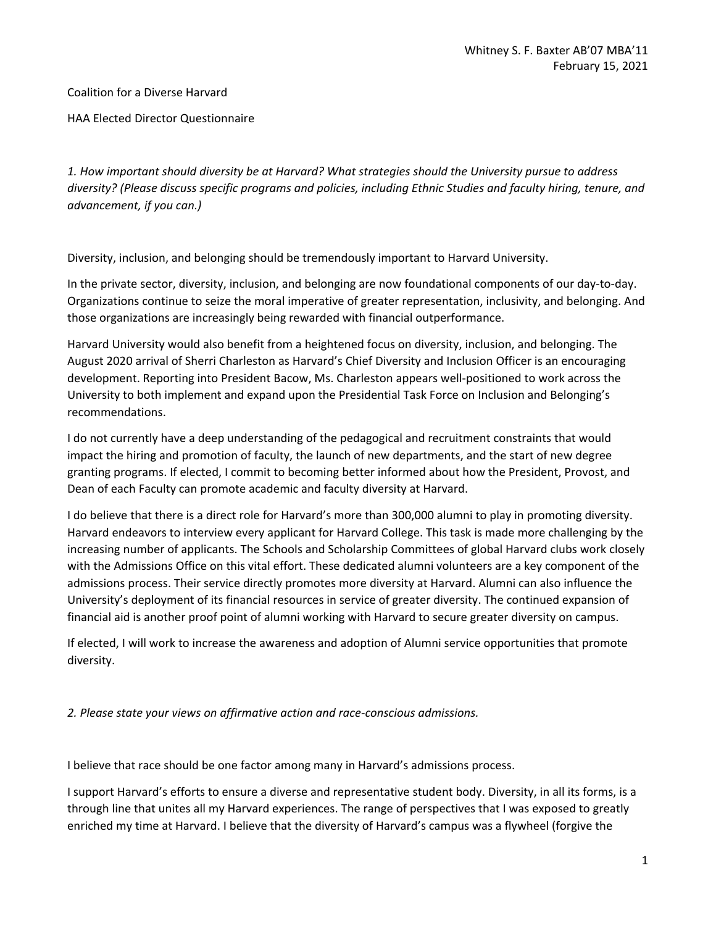Coalition for a Diverse Harvard

HAA Elected Director Questionnaire

*1. How important should diversity be at Harvard? What strategies should the University pursue to address diversity? (Please discuss specific programs and policies, including Ethnic Studies and faculty hiring, tenure, and advancement, if you can.)* 

Diversity, inclusion, and belonging should be tremendously important to Harvard University.

In the private sector, diversity, inclusion, and belonging are now foundational components of our day-to-day. Organizations continue to seize the moral imperative of greater representation, inclusivity, and belonging. And those organizations are increasingly being rewarded with financial outperformance.

Harvard University would also benefit from a heightened focus on diversity, inclusion, and belonging. The August 2020 arrival of Sherri Charleston as Harvard's Chief Diversity and Inclusion Officer is an encouraging development. Reporting into President Bacow, Ms. Charleston appears well-positioned to work across the University to both implement and expand upon the Presidential Task Force on Inclusion and Belonging's recommendations.

I do not currently have a deep understanding of the pedagogical and recruitment constraints that would impact the hiring and promotion of faculty, the launch of new departments, and the start of new degree granting programs. If elected, I commit to becoming better informed about how the President, Provost, and Dean of each Faculty can promote academic and faculty diversity at Harvard.

I do believe that there is a direct role for Harvard's more than 300,000 alumni to play in promoting diversity. Harvard endeavors to interview every applicant for Harvard College. This task is made more challenging by the increasing number of applicants. The Schools and Scholarship Committees of global Harvard clubs work closely with the Admissions Office on this vital effort. These dedicated alumni volunteers are a key component of the admissions process. Their service directly promotes more diversity at Harvard. Alumni can also influence the University's deployment of its financial resources in service of greater diversity. The continued expansion of financial aid is another proof point of alumni working with Harvard to secure greater diversity on campus.

If elected, I will work to increase the awareness and adoption of Alumni service opportunities that promote diversity.

*2. Please state your views on affirmative action and race-conscious admissions.* 

I believe that race should be one factor among many in Harvard's admissions process.

I support Harvard's efforts to ensure a diverse and representative student body. Diversity, in all its forms, is a through line that unites all my Harvard experiences. The range of perspectives that I was exposed to greatly enriched my time at Harvard. I believe that the diversity of Harvard's campus was a flywheel (forgive the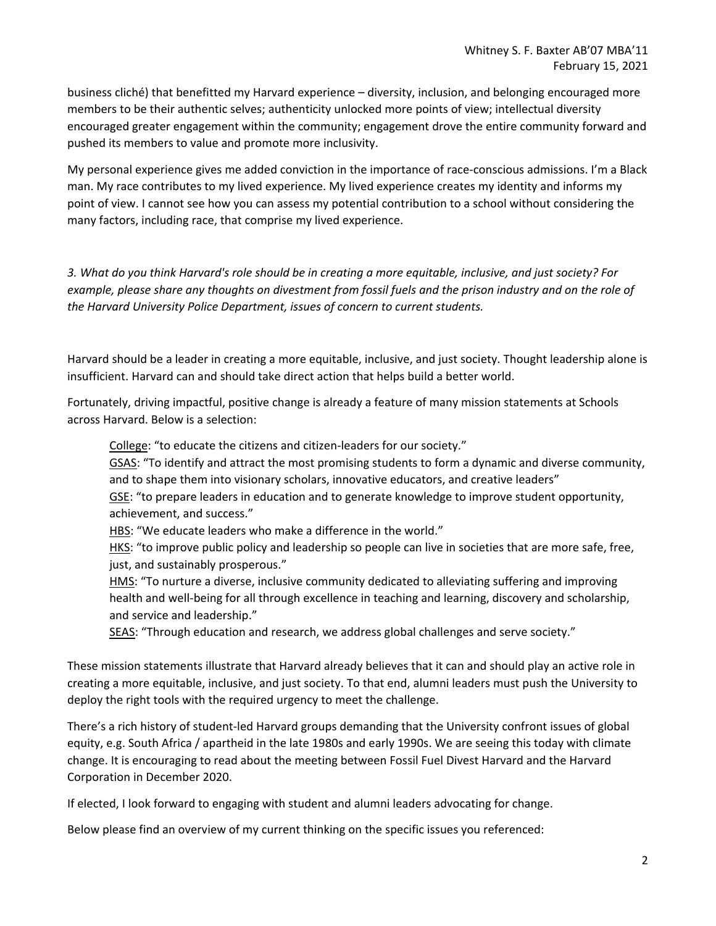business cliché) that benefitted my Harvard experience – diversity, inclusion, and belonging encouraged more members to be their authentic selves; authenticity unlocked more points of view; intellectual diversity encouraged greater engagement within the community; engagement drove the entire community forward and pushed its members to value and promote more inclusivity.

My personal experience gives me added conviction in the importance of race-conscious admissions. I'm a Black man. My race contributes to my lived experience. My lived experience creates my identity and informs my point of view. I cannot see how you can assess my potential contribution to a school without considering the many factors, including race, that comprise my lived experience.

*3. What do you think Harvard's role should be in creating a more equitable, inclusive, and just society? For example, please share any thoughts on divestment from fossil fuels and the prison industry and on the role of the Harvard University Police Department, issues of concern to current students.*

Harvard should be a leader in creating a more equitable, inclusive, and just society. Thought leadership alone is insufficient. Harvard can and should take direct action that helps build a better world.

Fortunately, driving impactful, positive change is already a feature of many mission statements at Schools across Harvard. Below is a selection:

College: "to educate the citizens and citizen-leaders for our society."

GSAS: "To identify and attract the most promising students to form a dynamic and diverse community, and to shape them into visionary scholars, innovative educators, and creative leaders"

GSE: "to prepare leaders in education and to generate knowledge to improve student opportunity, achievement, and success."

HBS: "We educate leaders who make a difference in the world."

HKS: "to improve public policy and leadership so people can live in societies that are more safe, free, just, and sustainably prosperous."

HMS: "To nurture a diverse, inclusive community dedicated to alleviating suffering and improving health and well-being for all through excellence in teaching and learning, discovery and scholarship, and service and leadership."

SEAS: "Through education and research, we address global challenges and serve society."

These mission statements illustrate that Harvard already believes that it can and should play an active role in creating a more equitable, inclusive, and just society. To that end, alumni leaders must push the University to deploy the right tools with the required urgency to meet the challenge.

There's a rich history of student-led Harvard groups demanding that the University confront issues of global equity, e.g. South Africa / apartheid in the late 1980s and early 1990s. We are seeing this today with climate change. It is encouraging to read about the meeting between Fossil Fuel Divest Harvard and the Harvard Corporation in December 2020.

If elected, I look forward to engaging with student and alumni leaders advocating for change.

Below please find an overview of my current thinking on the specific issues you referenced: